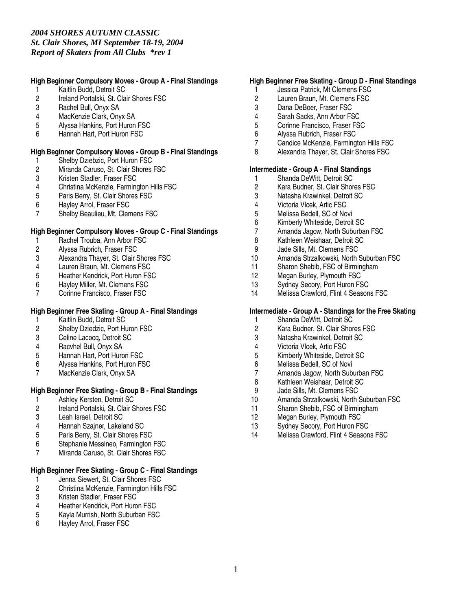## **High Beginner Compulsory Moves - Group A - Final Standings**

- 1 Kaitlin Budd, Detroit SC
- 2 Ireland Portalski, St. Clair Shores FSC<br>3 Rachel Bull. Onvx SA
- Rachel Bull, Onyx SA
- 4 MacKenzie Clark, Onyx SA
- 5 Alyssa Hankins, Port Huron FSC
- 6 Hannah Hart, Port Huron FSC

### **High Beginner Compulsory Moves - Group B - Final Standings**

- 
- 1 Shelby Dziebzic, Port Huron FSC<br>2 Miranda Caruso, St. Clair Shores 2 Miranda Caruso, St. Clair Shores FSC<br>3 Kristen Stadler, Fraser FSC
- 3 Kristen Stadler, Fraser FSC
- 4 Christina McKenzie, Farmington Hills FSC<br>5 Paris Berry. St. Clair Shores FSC
- 5 Paris Berry, St. Clair Shores FSC
- 6 Hayley Arrol, Fraser FSC
- 7 Shelby Beaulieu, Mt. Clemens FSC

### **High Beginner Compulsory Moves - Group C - Final Standings**

- 1 Rachel Trouba, Ann Arbor FSC
- 2 Alyssa Rubrich, Fraser FSC
- 3 Alexandra Thayer, St. Clair Shores FSC
- 
- 4 Lauren Braun, Mt. Clemens FSC<br>5 Heather Kendrick, Port Huron FS 5 Heather Kendrick, Port Huron FSC<br>6 Hayley Miller, Mt. Clemens FSC
- 6 Hayley Miller, Mt. Clemens FSC
- 7 Corinne Francisco, Fraser FSC

## **High Beginner Free Skating - Group A - Final Standings**

- 1 Kaitlin Budd, Detroit SC<br>2 Shelby Dziedzic, Port Hu
- 2 Shelby Dziedzic, Port Huron FSC<br>3 Celine Lacoca. Detroit SC
- 3 Celine Lacocq, Detroit SC
- 4 Racvhel Bull, Onyx SA
- 5 Hannah Hart, Port Huron FSC
- 6 Alyssa Hankins, Port Huron FSC<br>7 MacKenzie Clark. Onvx SA
- MacKenzie Clark, Onyx SA

## **High Beginner Free Skating - Group B - Final Standings**

- 1 Ashley Kersten, Detroit SC<br>2 Ireland Portalski, St. Clair S
- 2 Ireland Portalski, St. Clair Shores FSC
- 3 Leah Israel, Detroit SC
- 4 Hannah Szajner, Lakeland SC<br>5 Paris Berry, St. Clair Shores F.
- 5 Paris Berry, St. Clair Shores FSC
- 6 Stephanie Messineo, Farmington FSC
- 7 Miranda Caruso, St. Clair Shores FSC

## **High Beginner Free Skating - Group C - Final Standings**

- 1 Jenna Siewert, St. Clair Shores FSC<br>2 Christina McKenzie, Farmington Hills
- 2 Christina McKenzie, Farmington Hills FSC<br>3 Kristen Stadler, Fraser FSC
- 3 Kristen Stadler, Fraser FSC<br>4 Heather Kendrick. Port Huro
- 4 Heather Kendrick, Port Huron FSC<br>5 Kavla Murrish. North Suburban FSC
- 5 Kayla Murrish, North Suburban FSC<br>6 Havlev Arrol. Fraser FSC
- Hayley Arrol, Fraser FSC

### **High Beginner Free Skating - Group D - Final Standings**

- 1 Jessica Patrick, Mt Clemens FSC
- 2 Lauren Braun, Mt. Clemens FSC<br>3 Dana DeBoer. Fraser FSC
- Dana DeBoer, Fraser FSC
- 4 Sarah Sacks, Ann Arbor FSC
- 5 Corinne Francisco, Fraser FSC<br>6 Alvssa Rubrich. Fraser FSC
- 6 Alyssa Rubrich, Fraser FSC
- 7 Candice McKenzie, Farmington Hills FSC
- 8 Alexandra Thayer, St. Clair Shores FSC

#### **Intermediate - Group A - Final Standings**

- 1 Shanda DeWitt, Detroit SC<br>2 Kara Budner, St. Clair Shor
- 2 Kara Budner, St. Clair Shores FSC<br>3 Natasha Krawinkel. Detroit SC
- 3 Natasha Krawinkel, Detroit SC<br>4 Victoria Vlcek, Artic FSC
- 4 Victoria Vlcek, Artic FSC
- 5 Melissa Bedell, SC of Novi<br>6 Kimberly Whiteside, Detroit
- 6 Kimberly Whiteside, Detroit SC
- Amanda Jagow, North Suburban FSC
- 8 Kathleen Weishaar, Detroit SC
- 9 Jade Sills, Mt. Clemens FSC
- 10 Amanda Strzalkowski, North Suburban FSC
- 11 Sharon Shebib, FSC of Birmingham<br>12 Megan Burley, Plymouth FSC
- 12 Megan Burley, Plymouth FSC<br>13 Sydney Secory, Port Huron FS
- Sydney Secory, Port Huron FSC
- 14 Melissa Crawford, Flint 4 Seasons FSC

#### **Intermediate - Group A - Standings for the Free Skating**

- 1 Shanda DeWitt, Detroit SC
- 2 Kara Budner, St. Clair Shores FSC<br>3 Natasha Krawinkel. Detroit SC
- 3 Natasha Krawinkel, Detroit SC
- 4 Victoria Vlcek, Artic FSC
- 5 Kimberly Whiteside, Detroit SC
- 6 Melissa Bedell, SC of Novi
- 7 Amanda Jagow, North Suburban FSC<br>8 Kathleen Weishaar, Detroit SC
- Kathleen Weishaar, Detroit SC
- 9 Jade Sills, Mt. Clemens FSC<br>10 Amanda Strzalkowski. North
- Amanda Strzalkowski, North Suburban FSC
- 11 Sharon Shebib, FSC of Birmingham
- 12 Megan Burley, Plymouth FSC
- 13 Sydney Secory, Port Huron FSC
- 14 Melissa Crawford, Flint 4 Seasons FSC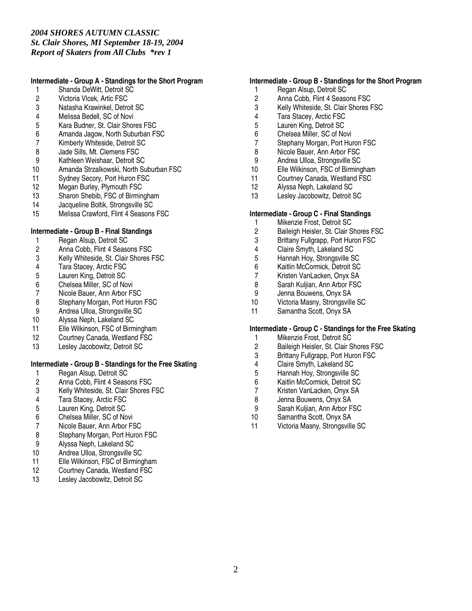### **Intermediate - Group A - Standings for the Short Program**

- 1 Shanda DeWitt, Detroit SC<br>2 Victoria Vlcek, Artic FSC
- 2 Victoria Vlcek, Artic FSC<br>3 Natasha Krawinkel. Detro
- 3 Natasha Krawinkel, Detroit SC
- 4 Melissa Bedell, SC of Novi
- 5 Kara Budner, St. Clair Shores FSC<br>6 Amanda Jagow. North Suburban F.
- 6 Amanda Jagow, North Suburban FSC
- 7 Kimberly Whiteside, Detroit SC
- 8 Jade Sills, Mt. Clemens FSC<br>9 Kathleen Weishaar. Detroit S
- 9 Kathleen Weishaar, Detroit SC<br>10 Amanda Strzalkowski, North Su
- Amanda Strzalkowski, North Suburban FSC
- 11 Sydney Secory, Port Huron FSC<br>12 Megan Burley, Plymouth FSC
- 12 Megan Burley, Plymouth FSC<br>13 Sharon Shebib. FSC of Birmin
- 13 Sharon Shebib, FSC of Birmingham<br>14 Jacqueline Boltik, Strongsville SC
- Jacqueline Boltik, Strongsville SC
- 15 Melissa Crawford, Flint 4 Seasons FSC

## **Intermediate - Group B - Final Standings**

- 1 Regan Alsup, Detroit SC
- 2 Anna Cobb, Flint 4 Seasons FSC
- 3 Kelly Whiteside, St. Clair Shores FSC
- 4 Tara Stacey, Arctic FSC<br>5 Lauren King, Detroit SC
- 
- 5 Lauren King, Detroit SC<br>6 Chelsea Miller, SC of No
- 6 Chelsea Miller, SC of Novi<br>7 Nicole Bauer, Ann Arbor FS
- 7 Nicole Bauer, Ann Arbor FSC<br>8 Stephany Morgan, Port Huron
- 8 Stephany Morgan, Port Huron FSC<br>9 Andrea Ulloa. Strongsville SC
- 9 Andrea Ulloa, Strongsville SC<br>10 Alvssa Neph. Lakeland SC Alyssa Neph, Lakeland SC
- 11 Elle Wilkinson, FSC of Birmingham
- 12 Courtney Canada, Westland FSC
- 13 Lesley Jacobowitz, Detroit SC

## **Intermediate - Group B - Standings for the Free Skating**

- 1 Regan Alsup, Detroit SC<br>2 Anna Cobb, Flint 4 Seaso
- 
- 2 Anna Cobb, Flint 4 Seasons FSC<br>3 Kelly Whiteside, St. Clair Shores F 3 Kelly Whiteside, St. Clair Shores FSC<br>4 Tara Stacev. Arctic FSC
- 4 Tara Stacey, Arctic FSC<br>5 Lauren King. Detroit SC
- Lauren King, Detroit SC
- 6 Chelsea Miller, SC of Novi
- 
- 7 Nicole Bauer, Ann Arbor FSC<br>8 Stephany Morgan, Port Huron Stephany Morgan, Port Huron FSC
- 9 Alyssa Neph, Lakeland SC
- 
- 10 Andrea Ulloa, Strongsville SC<br>11 Elle Wilkinson. FSC of Birming 11 Elle Wilkinson, FSC of Birmingham<br>12 Courtney Canada, Westland FSC
- Courtney Canada, Westland FSC
- 13 Lesley Jacobowitz, Detroit SC

### **Intermediate - Group B - Standings for the Short Program**

- 1 Regan Alsup, Detroit SC
- 2 Anna Cobb, Flint 4 Seasons FSC<br>3 Kelly Whiteside. St. Clair Shores I
- Kelly Whiteside, St. Clair Shores FSC
- 4 Tara Stacey, Arctic FSC
- 5 Lauren King, Detroit SC<br>6 Chelsea Miller. SC of No
- Chelsea Miller, SC of Novi
- 7 Stephany Morgan, Port Huron FSC
- 8 Nicole Bauer, Ann Arbor FSC
- 9 Andrea Ulloa, Strongsville SC<br>10 Elle Wilkinson, FSC of Birming
- Elle Wilkinson, FSC of Birmingham
- 11 Courtney Canada, Westland FSC
- 12 Alyssa Neph, Lakeland SC<br>13 Leslev Jacobowitz, Detroit
- Lesley Jacobowitz, Detroit SC

### **Intermediate - Group C - Final Standings**

- 1 Mikenzie Frost, Detroit SC<br>2 Baileigh Heisler, St. Clair S
- 2 Baileigh Heisler, St. Clair Shores FSC<br>3 Brittany Fullgrapp, Port Huron FSC
- Brittany Fullgrapp, Port Huron FSC
- 
- 4 Claire Smyth, Lakeland SC<br>5 Hannah Hoy, Strongsville S 5 Hannah Hoy, Strongsville SC
- 
- 6 Kaitlin McCormick, Detroit SC
- 7 Kristen VanLacken, Onyx SA<br>8 Sarah Kuliian. Ann Arbor FSC Sarah Kuljian, Ann Arbor FSC
- 9 Jenna Bouwens, Onyx SA
- 10 Victoria Masny, Strongsville SC
- 11 Samantha Scott, Onyx SA

## **Intermediate - Group C - Standings for the Free Skating**

- 1 Mikenzie Frost, Detroit SC
- 2 Baileigh Heisler, St. Clair Shores FSC
- 3 Brittany Fullgrapp, Port Huron FSC
- 4 Claire Smyth, Lakeland SC<br>5 Hannah Hov. Strongsville S
- 5 Hannah Hoy, Strongsville SC<br>6 Kaitlin McCormick, Detroit SC
- 6 Kaitlin McCormick, Detroit SC
- 7 Kristen VanLacken, Onyx SA<br>8 Jenna Bouwens. Onvx SA
- 8 Jenna Bouwens, Onyx SA<br>9 Sarah Kuliian. Ann Arbor F
- Sarah Kulijan, Ann Arbor FSC
- 10 Samantha Scott, Onyx SA
- 11 Victoria Masny, Strongsville SC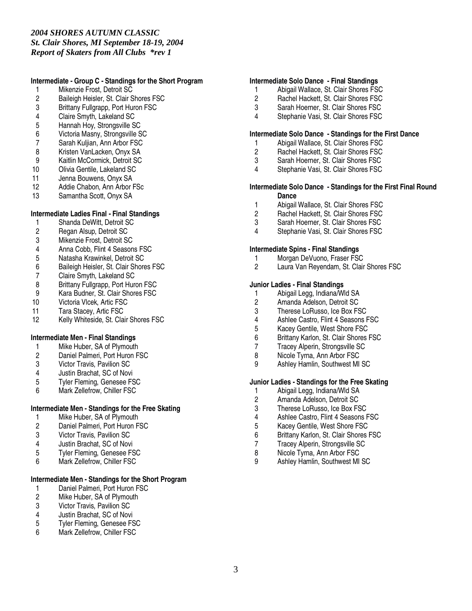## **Intermediate - Group C - Standings for the Short Program**

- 1 Mikenzie Frost, Detroit SC<br>2 Baileigh Heisler, St. Clair S
- 2 Baileigh Heisler, St. Clair Shores FSC<br>3 Brittany Fullgrapp. Port Huron FSC
- Brittany Fullgrapp, Port Huron FSC
- 4 Claire Smyth, Lakeland SC
- 5 Hannah Hoy, Strongsville SC<br>6 Victoria Masny, Strongsville S
- 6 Victoria Masny, Strongsville SC
- 7 Sarah Kuljian, Ann Arbor FSC
- 
- 8 Kristen VanLacken, Onyx SA<br>9 Kaitlin McCormick. Detroit SC
- 9 Kaitlin McCormick, Detroit SC<br>10 Olivia Gentile, Lakeland SC 10 Olivia Gentile, Lakeland SC
- 11 Jenna Bouwens, Onyx SA
- 12 Addie Chabon, Ann Arbor FSc<br>13 Samantha Scott Onyx SA
- Samantha Scott, Onyx SA

## **Intermediate Ladies Final - Final Standings**

- 1 Shanda DeWitt, Detroit SC<br>2 Regan Alsup, Detroit SC
- 2 Regan Alsup, Detroit SC<br>3 Mikenzie Frost, Detroit S0
- 3 Mikenzie Frost, Detroit SC
- 4 Anna Cobb, Flint 4 Seasons FSC
- 5 Natasha Krawinkel, Detroit SC
- 6 Baileigh Heisler, St. Clair Shores FSC
- 7 Claire Smyth, Lakeland SC<br>8 Brittany Fullgrapp, Port Hurg
- 8 Brittany Fullgrapp, Port Huron FSC
- 9 Kara Budner, St. Clair Shores FSC
- 10 Victoria Vlcek, Artic FSC
- 11 Tara Stacey, Artic FSC<br>12 Kelly Whiteside, St. Cla
- Kelly Whiteside, St. Clair Shores FSC

## **Intermediate Men - Final Standings**

- 1 Mike Huber, SA of Plymouth
- 2 Daniel Palmeri, Port Huron FSC
- 3 Victor Travis, Pavilion SC
- 
- 4 Justin Brachat, SC of Novi<br>5 Tyler Fleming, Genesee F9 5 Tyler Fleming, Genesee FSC
- 6 Mark Zellefrow, Chiller FSC

## **Intermediate Men - Standings for the Free Skating**

- 1 Mike Huber, SA of Plymouth<br>2 Daniel Palmeri. Port Huron F
- 2 Daniel Palmeri, Port Huron FSC<br>3 Victor Travis, Pavilion SC
- **Victor Travis, Pavilion SC**
- 4 Justin Brachat, SC of Novi
- 5 Tyler Fleming, Genesee FSC<br>6 Mark Zellefrow Chiller FSC
- Mark Zellefrow, Chiller FSC

# **Intermediate Men - Standings for the Short Program**

- 1 Daniel Palmeri, Port Huron FSC<br>2 Mike Huber, SA of Plymouth
- Mike Huber, SA of Plymouth
- 3 Victor Travis, Pavilion SC
- 4 Justin Brachat, SC of Novi<br>5 Tyler Fleming. Genesee FS
- 5 Tyler Fleming, Genesee FSC
- 6 Mark Zellefrow, Chiller FSC

## **Intermediate Solo Dance - Final Standings**

- 1 Abigail Wallace, St. Clair Shores FSC
- 2 Rachel Hackett, St. Clair Shores FSC<br>3 Sarah Hoerner. St. Clair Shores FSC
- Sarah Hoerner, St. Clair Shores FSC
- 4 Stephanie Vasi, St. Clair Shores FSC

## **Intermediate Solo Dance - Standings for the First Dance**

- 1 Abigail Wallace, St. Clair Shores FSC
- 2 Rachel Hackett, St. Clair Shores FSC
- 3 Sarah Hoerner, St. Clair Shores FSC<br>4 Stephanie Vasi. St. Clair Shores FSC
- Stephanie Vasi, St. Clair Shores FSC

#### **Intermediate Solo Dance - Standings for the First Final Round Dance**

- 1 Abigail Wallace, St. Clair Shores FSC
- 2 Rachel Hackett, St. Clair Shores FSC<br>3 Sarah Hoerner, St. Clair Shores FSC
- 3 Sarah Hoerner, St. Clair Shores FSC<br>4 Stephanie Vasi St. Clair Shores FSC
- Stephanie Vasi, St. Clair Shores FSC

### **Intermediate Spins - Final Standings**

- 1 Morgan DeVuono, Fraser FSC<br>2 Laura Van Revendam. St. Clair
- Laura Van Reyendam, St. Clair Shores FSC

## **Junior Ladies - Final Standings**

- 1 Abigail Legg, Indiana Wld SA<br>2 Amanda Adelson. Detroit SC
- 2 Amanda Adelson, Detroit SC<br>3 Therese LoRusso. Ice Box FS
- 3 Therese LoRusso, Ice Box FSC<br>4 Ashlee Castro. Flint 4 Seasons I
- 4 Ashlee Castro, Flint 4 Seasons FSC
- 5 Kacey Gentile, West Shore FSC
- 6 Brittany Karlon, St. Clair Shores FSC
- 7 Tracey Alperin, Strongsville SC
- 8 Nicole Tyrna, Ann Arbor FSC
- 9 Ashley Hamlin, Southwest MI SC

### **Junior Ladies - Standings for the Free Skating**

- 1 Abigail Legg, Indiana/Wld SA<br>2 Amanda Adelson. Detroit SC
- 2 Amanda Adelson, Detroit SC<br>3 Therese LoRusso, Ice Box FS
- Therese LoRusso, Ice Box FSC
- 4 Ashlee Castro, Flint 4 Seasons FSC
- 5 Kacey Gentile, West Shore FSC
- 6 Brittany Karlon, St. Clair Shores FSC
- 7 Tracey Alperin, Strongsville SC
- 8 Nicole Tyrna, Ann Arbor FSC<br>9 Ashley Hamlin Southwest MI
- 9 Ashley Hamlin, Southwest MI SC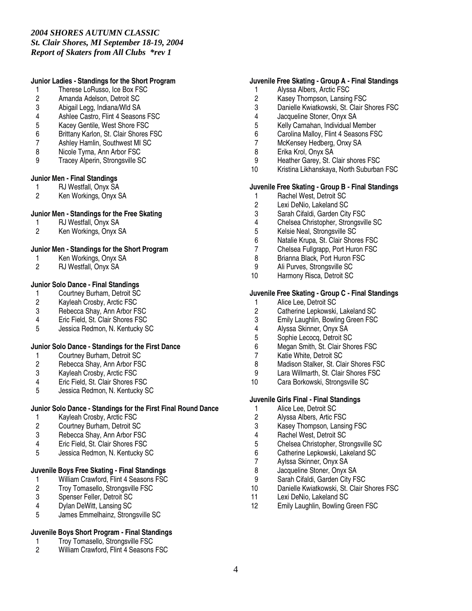## **Junior Ladies - Standings for the Short Program**

- 1 Therese LoRusso, Ice Box FSC
- 2 Amanda Adelson, Detroit SC<br>3 Abigail Legg. Indiana/Wld SA
- 3 Abigail Legg, Indiana/Wld SA
- 4 Ashlee Castro, Flint 4 Seasons FSC
- 5 Kacey Gentile, West Shore FSC
- Brittany Karlon, St. Clair Shores FSC
- 7 Ashley Hamlin, Southwest MI SC
- 8 Nicole Tyrna, Ann Arbor FSC
- 9 Tracey Alperin, Strongsville SC

#### **Junior Men - Final Standings**

- 1 RJ Westfall, Onyx SA<br>2 Ken Workings, Onyx S
- Ken Workings, Onyx SA

### **Junior Men - Standings for the Free Skating**

- 1 RJ Westfall, Onyx SA<br>2 Ken Workings, Onyx S
- Ken Workings, Onyx SA

### **Junior Men - Standings for the Short Program**

- 1 Ken Workings, Onyx SA<br>2 RJ Westfall. Onvx SA
- RJ Westfall, Onyx SA

## **Junior Solo Dance - Final Standings**

- 1 Courtney Burham, Detroit SC<br>2 Kayleah Crosby, Arctic FSC
- 2 Kayleah Crosby, Arctic FSC<br>3 Rebecca Shav. Ann Arbor FS
- 3 Rebecca Shay, Ann Arbor FSC<br>4 Eric Field. St. Clair Shores FSC
- 4 Eric Field, St. Clair Shores FSC
- 5 Jessica Redmon, N. Kentucky SC

## **Junior Solo Dance - Standings for the First Dance**

- 1 Courtney Burham, Detroit SC<br>2 Rebecca Shay, Ann Arbor FS
- 2 Rebecca Shay, Ann Arbor FSC<br>3 Kavleah Crosby, Arctic FSC
- 3 Kayleah Crosby, Arctic FSC<br>4 Eric Field, St. Clair Shores F
- 4 Eric Field, St. Clair Shores FSC<br>5 Jessica Redmon. N. Kentucky S
- 5 Jessica Redmon, N. Kentucky SC

## **Junior Solo Dance - Standings for the First Final Round Dance**

- 1 Kayleah Crosby, Arctic FSC<br>2 Courtney Burham, Detroit SC
- 2 Courtney Burham, Detroit SC
- Rebecca Shay, Ann Arbor FSC
- 4 Eric Field, St. Clair Shores FSC
- 5 Jessica Redmon, N. Kentucky SC

## **Juvenile Boys Free Skating - Final Standings**

- 1 William Crawford, Flint 4 Seasons FSC<br>2 Troy Tomasello, Strongsville FSC
- 2 Troy Tomasello, Strongsville FSC<br>3 Spenser Feller, Detroit SC
- 3 Spenser Feller, Detroit SC
- 4 Dylan DeWitt, Lansing SC
- 5 James Emmelhainz, Strongsville SC

#### **Juvenile Boys Short Program - Final Standings**

- 1 Troy Tomasello, Strongsville FSC<br>2 William Crawford Flint 4 Seasons
- William Crawford, Flint 4 Seasons FSC

## **Juvenile Free Skating - Group A - Final Standings**

- 1 Alyssa Albers, Arctic FSC
- 2 Kasey Thompson, Lansing FSC<br>3 Danielle Kwiatkowski, St. Clair S
- Danielle Kwiatkowski, St. Clair Shores FSC
- 4 Jacqueline Stoner, Onyx SA
- 5 Kelly Carnahan, Individual Member<br>6 Carolina Mallov. Flint 4 Seasons FS
- Carolina Malloy, Flint 4 Seasons FSC
- 7 McKensey Hedberg, Onxy SA
- 8 Erika Krol, Onyx SA
- 9 Heather Garey, St. Clair shores FSC
- 10 Kristina Likhanskaya, North Suburban FSC

#### **Juvenile Free Skating - Group B - Final Standings**

- 1 Rachel West, Detroit SC<br>2 Lexi DeNio. Lakeland SC
- Lexi DeNio, Lakeland SC
- 3 Sarah Cifaldi, Garden City FSC<br>4 Chelsea Christopher, Strongsvil
- 4 Chelsea Christopher, Strongsville SC<br>5 Kelsie Neal, Strongsville SC
- 5 Kelsie Neal, Strongsville SC
- 6 Natalie Krupa, St. Clair Shores FSC
- 7 Chelsea Fullgrapp, Port Huron FSC
- 8 Brianna Black, Port Huron FSC
- 9 Ali Purves, Strongsville SC<br>10 Harmony Risca. Detroit SC
- Harmony Risca, Detroit SC

#### **Juvenile Free Skating - Group C - Final Standings**

- 1 Alice Lee, Detroit SC<br>2 Catherine Lepkowski.
- 2 Catherine Lepkowski, Lakeland SC<br>3 Emily Laughlin, Bowling Green FSC
- Emily Laughlin, Bowling Green FSC
- 4 Alyssa Skinner, Onyx SA<br>5 Sophie Lecoca, Detroit SO
- 5 Sophie Lecocq, Detroit SC
- 6 Megan Smith, St. Clair Shores FSC
- 7 Katie White, Detroit SC
- 8 Madison Stalker, St. Clair Shores FSC<br>9 Lara Willmarth St. Clair Shores FSC
- Lara Willmarth, St. Clair Shores FSC
- 10 Cara Borkowski, Strongsville SC

## **Juvenile Girls Final - Final Standings**

- 1 Alice Lee, Detroit SC
- 2 Alyssa Albers, Artic FSC
- 3 Kasey Thompson, Lansing FSC
- 4 Rachel West, Detroit SC
- 5 Chelsea Christopher, Strongsville SC
- 6 Catherine Lepkowski, Lakeland SC<br>7 Avlssa Skinner. Onvx SA
- Aylssa Skinner, Onyx SA
- 8 Jacqueline Stoner, Onyx SA
- 9 Sarah Cifaldi, Garden City FSC<br>10 Danielle Kwiatkowski St Clair S
- Danielle Kwiatkowski, St. Clair Shores FSC
- 11 Lexi DeNio, Lakeland SC
- 12 Emily Laughlin, Bowling Green FSC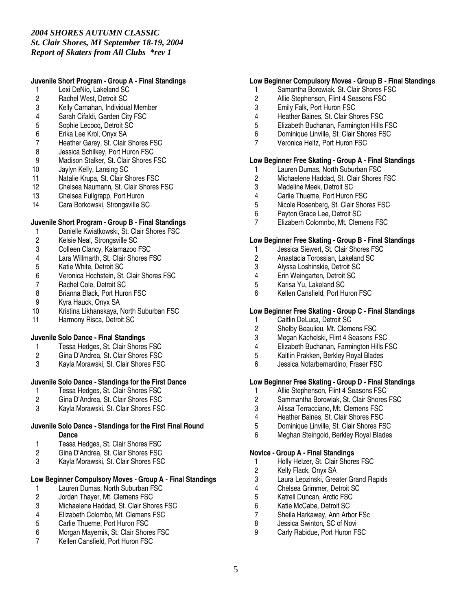## **Juvenile Short Program - Group A - Final Standings**

- 1 Lexi DeNio, Lakeland SC
- 2 Rachel West, Detroit SC<br>3 Kelly Carnahan, Individua
- Kelly Carnahan, Individual Member
- 4 Sarah Cifaldi, Garden City FSC
- 5 Sophie Lecocq, Detroit SC<br>6 Erika Lee Krol. Onvx SA
- 6 Erika Lee Krol, Onyx SA
- 7 Heather Garey, St. Clair Shores FSC
- 8 Jessica Schilkey, Port Huron FSC<br>9 Madison Stalker. St. Clair Shores F
- 9 Madison Stalker, St. Clair Shores FSC<br>10 Jaylyn Kelly, Lansing SC
- Jaylyn Kelly, Lansing SC
- 11 Natalie Krupa, St. Clair Shores FSC<br>12 Chelsea Naumann. St. Clair Shores
- 12 Chelsea Naumann, St. Clair Shores FSC<br>13 Chelsea Fullgrapp. Port Huron
- 
- 13 Chelsea Fullgrapp, Port Huron<br>14 Cara Borkowski. Strongsville St Cara Borkowski, Strongsville SC

## **Juvenile Short Program - Group B - Final Standings**

- 1 Danielle Kwiatkowski, St. Clair Shores FSC
- 2 Kelsie Neal, Strongsville SC
- 3 Colleen Clancy, Kalamazoo FSC
- 4 Lara Willmarth, St. Clair Shores FSC
- 5 Katie White, Detroit SC<br>6 Veronica Hochstein, St.
- 6 Veronica Hochstein, St. Clair Shores FSC
- 7 Rachel Cole, Detroit SC<br>8 Brianna Black, Port Huro
- Brianna Black, Port Huron FSC
- 9 Kyra Hauck, Onyx SA<br>10 Kristina Likhanskava. I
- Kristina Likhanskaya, North Suburban FSC
- 11 Harmony Risca, Detroit SC

## **Juvenile Solo Dance - Final Standings**

- 1 Tessa Hedges, St. Clair Shores FSC
- 2 Gina D'Andrea, St. Clair Shores FSC
- 3 Kayla Morawski, St. Clair Shores FSC

# **Juvenile Solo Dance - Standings for the First Dance**

- 1 Tessa Hedges, St. Clair Shores FSC<br>2 Gina D'Andrea. St. Clair Shores FSC
- 2 Gina D'Andrea, St. Clair Shores FSC<br>3 Kavla Morawski, St. Clair Shores FSC
- Kayla Morawski, St. Clair Shores FSC

## **Juvenile Solo Dance - Standings for the First Final Round Dance**

- 1 Tessa Hedges, St. Clair Shores FSC
- 2 Gina D'Andrea, St. Clair Shores FSC<br>3 Kavla Morawski, St. Clair Shores FSC
- Kayla Morawski, St. Clair Shores FSC

## **Low Beginner Compulsory Moves - Group A - Final Standings**

- 1 Lauren Dumas, North Suburban FSC<br>2 Jordan Thayer, Mt. Clemens FSC
- 2 Jordan Thayer, Mt. Clemens FSC
- 3 Michaelene Haddad, St. Clair Shores FSC<br>4 Elizabeth Colombo. Mt. Clemens FSC
- 4 Elizabeth Colombo, Mt. Clemens FSC<br>5 Carlie Thueme. Port Huron FSC
- 5 Carlie Thueme, Port Huron FSC
- 6 Morgan Mayernik, St. Clair Shores FSC
- 7 Kellen Cansfield, Port Huron FSC

## **Low Beginner Compulsory Moves - Group B - Final Standings**

- 1 Samantha Borowiak, St. Clair Shores FSC
- 2 Allie Stephenson, Flint 4 Seasons FSC<br>3 Emily Falk. Port Huron FSC
- Emily Falk, Port Huron FSC
- 4 Heather Baines, St. Clair Shores FSC
- 5 Elizabeth Buchanan, Farmington Hills FSC
- 6 Dominique Linville, St. Clair Shores FSC
- 7 Veronica Heitz, Port Huron FSC

## **Low Beginner Free Skating - Group A - Final Standings**

- 1 Lauren Dumas, North Suburban FSC<br>2 Michaelene Haddad, St. Clair Shores
- 2 Michaelene Haddad, St. Clair Shores FSC<br>3 Madeline Meek. Detroit SC
- 3 Madeline Meek, Detroit SC
- 4 Carlie Thueme, Port Huron FSC<br>5 Nicole Rosenberg. St. Clair Shor
- 5 Nicole Rosenberg, St. Clair Shores FSC
- 6 Payton Grace Lee, Detroit SC<br>7 Elizaberh Colomnbo, Mt. Clem
- 7 Elizaberh Colomnbo, Mt. Clemens FSC

### **Low Beginner Free Skating - Group B - Final Standings**

- 1 Jessica Siewert, St. Clair Shores FSC
- 2 Anastacia Torossian, Lakeland SC
- 3 Alyssa Loshinskie, Detroit SC
- 4 Erin Weingarten, Detroit SC<br>5 Karisa Yu. Lakeland SC
- 5 Karisa Yu, Lakeland SC
- 6 Kellen Cansfield, Port Huron FSC

## **Low Beginner Free Skating - Group C - Final Standings**

- 1 Caitlin DeLuca, Detroit SC
- 2 Shelby Beaulieu, Mt. Clemens FSC<br>3 Megan Kachelski, Flint 4 Seasons F
- Megan Kachelski, Flint 4 Seasons FSC
- 4 Elizabeth Buchanan, Farmington Hills FSC
- 5 Kaitlin Prakken, Berkley Royal Blades
- 6 Jessica Notarbernardino, Fraser FSC

# **Low Beginner Free Skating - Group D - Final Standings**

- 1 Allie Stephenson, Flint 4 Seasons FSC<br>2 Sammantha Borowiak. St. Clair Shores
- 2 Sammantha Borowiak, St. Clair Shores FSC<br>3 Alissa Terracciano. Mt. Clemens FSC
- Alissa Terracciano, Mt. Clemens FSC
- 4 Heather Baines, St. Clair Shores FSC
- 5 Dominique Linville, St. Clair Shores FSC
- 6 Meghan Steingold, Berkley Royal Blades

#### **Novice - Group A - Final Standings**

- 1 Holly Helzer, St. Clair Shores FSC
- 2 Kelly Flack, Onyx SA
- 3 Laura Lepzinski, Greater Grand Rapids<br>4 Chelsea Grimmer. Detroit SC
- 4 Chelsea Grimmer, Detroit SC<br>5 Katrell Duncan, Arctic FSC
- 5 Katrell Duncan, Arctic FSC
- 6 Katie McCabe, Detroit SC
- 7 Sheila Harkaway, Ann Arbor FSc<br>8 Jessica Swinton, SC of Novi
- Jessica Swinton, SC of Novi
- 9 Carly Rabidue, Port Huron FSC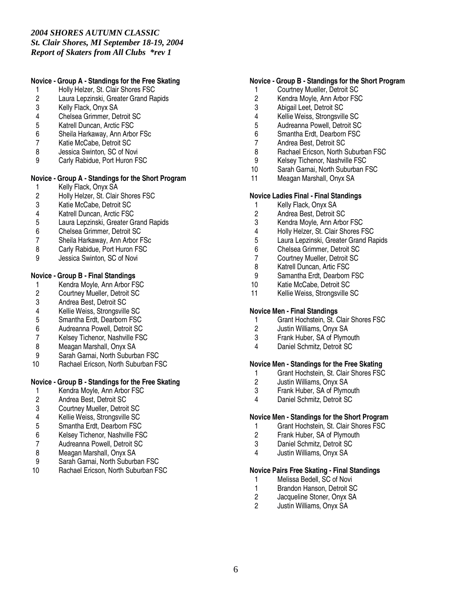## **Novice - Group A - Standings for the Free Skating**

- 1 Holly Helzer, St. Clair Shores FSC
- 2 Laura Lepzinski, Greater Grand Rapids<br>3 Kelly Flack. Onvx SA
- Kelly Flack, Onyx SA
- 4 Chelsea Grimmer, Detroit SC
- 5 Katrell Duncan, Arctic FSC<br>6 Sheila Harkaway, Ann Arbo
- 6 Sheila Harkaway, Ann Arbor FSc
- 7 Katie McCabe, Detroit SC
- 8 Jessica Swinton, SC of Novi
- 9 Carly Rabidue, Port Huron FSC

# **Novice - Group A - Standings for the Short Program**

- 1 Kelly Flack, Onyx SA<br>2 Holly Helzer, St. Clair
- 2 Holly Helzer, St. Clair Shores FSC<br>3 Katie McCabe. Detroit SC
- 3 Katie McCabe, Detroit SC<br>4 Katrell Duncan, Arctic FSC
- 4 Katrell Duncan, Arctic FSC<br>5 Laura Lepzinski, Greater Gi
- 5 Laura Lepzinski, Greater Grand Rapids
- 6 Chelsea Grimmer, Detroit SC
- 7 Sheila Harkaway, Ann Arbor FSc
- 8 Carly Rabidue, Port Huron FSC
- 9 Jessica Swinton, SC of Novi

## **Novice - Group B - Final Standings**

- 1 Kendra Moyle, Ann Arbor FSC<br>2 Courtney Mueller, Detroit SC
- 2 Courtney Mueller, Detroit SC<br>3 Andrea Best. Detroit SC
- 3 Andrea Best, Detroit SC<br>4 Kellie Weiss, Strongsville
- 4 Kellie Weiss, Strongsville SC<br>5 Smantha Erdt. Dearborn FSC
- 5 Smantha Erdt, Dearborn FSC
- 6 Audreanna Powell, Detroit SC<br>7 Kelsev Tichenor, Nashville FS
- Kelsey Tichenor, Nashville FSC
- 8 Meagan Marshall, Onyx SA
- 9 Sarah Garnai, North Suburban FSC
- 10 Rachael Ericson, North Suburban FSC

## **Novice - Group B - Standings for the Free Skating**

- 1 Kendra Moyle, Ann Arbor FSC<br>2 Andrea Best, Detroit SC
- 2 Andrea Best, Detroit SC<br>3 Courtney Mueller, Detroit
- 3 Courtney Mueller, Detroit SC
- 4 Kellie Weiss, Strongsville SC
- 5 Smantha Erdt, Dearborn FSC
- 6 Kelsey Tichenor, Nashville FSC
- 7 Audreanna Powell, Detroit SC
- 
- 8 Meagan Marshall, Onyx SA<br>9 Sarah Garnai North Suburb Sarah Garnai, North Suburban FSC
- 10 Rachael Ericson, North Suburban FSC

## **Novice - Group B - Standings for the Short Program**

- 1 Courtney Mueller, Detroit SC
- 2 Kendra Moyle, Ann Arbor FSC<br>3 Abigail Leet. Detroit SC
- Abigail Leet, Detroit SC
- 4 Kellie Weiss, Strongsville SC<br>5 Audreanna Powell. Detroit SC
- 5 Audreanna Powell, Detroit SC<br>6 Smantha Erdt. Dearborn FSC
- 6 Smantha Erdt, Dearborn FSC
- 7 Andrea Best, Detroit SC
- 8 Rachael Ericson, North Suburban FSC
- 9 Kelsey Tichenor, Nashville FSC<br>10 Sarah Garnai. North Suburban F
- Sarah Garnai, North Suburban FSC
- 11 Meagan Marshall, Onyx SA

### **Novice Ladies Final - Final Standings**

- 1 Kelly Flack, Onyx SA<br>2 Andrea Best, Detroit S
- 2 Andrea Best, Detroit SC<br>3 Kendra Movle, Ann Arbo
- 3 Kendra Moyle, Ann Arbor FSC<br>4 Holly Helzer. St. Clair Shores F
- 4 Holly Helzer, St. Clair Shores FSC
- 5 Laura Lepzinski, Greater Grand Rapids
- 6 Chelsea Grimmer, Detroit SC
- 7 Courtney Mueller, Detroit SC
- 8 Katrell Duncan, Artic FSC<br>9 Samantha Erdt, Dearborn
- 9 Samantha Erdt, Dearborn FSC<br>10 Katie McCabe. Detroit SC
- Katie McCabe, Detroit SC
- 11 Kellie Weiss, Strongsville SC

#### **Novice Men - Final Standings**

- 1 Grant Hochstein, St. Clair Shores FSC
- 2 Justin Williams, Onyx SA<br>3 Frank Huber. SA of Plymo
- Frank Huber, SA of Plymouth
- 4 Daniel Schmitz, Detroit SC

#### **Novice Men - Standings for the Free Skating**

- 1 Grant Hochstein, St. Clair Shores FSC<br>2 Justin Williams, Onyx SA
- 2 Justin Williams, Onyx SA<br>3 Frank Huber. SA of Plymo
- 3 Frank Huber, SA of Plymouth<br>4 Daniel Schmitz Detroit SC
- Daniel Schmitz, Detroit SC

## **Novice Men - Standings for the Short Program**

- 1 Grant Hochstein, St. Clair Shores FSC<br>2 Frank Huber, SA of Plymouth
- Frank Huber, SA of Plymouth
- 3 Daniel Schmitz, Detroit SC
- 4 Justin Williams, Onyx SA

## **Novice Pairs Free Skating - Final Standings**

- 1 Melissa Bedell, SC of Novi<br>1 Brandon Hanson, Detroit SQ
- 1 Brandon Hanson, Detroit SC<br>2 Jacqueline Stoner, Onyx SA
- Jacqueline Stoner, Onyx SA
- 2 Justin Williams, Onyx SA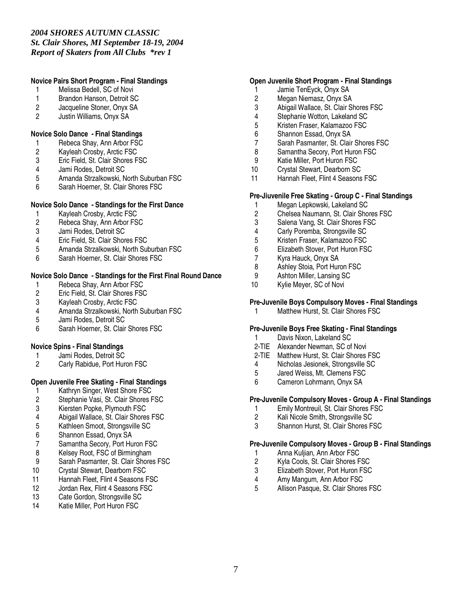# **Novice Pairs Short Program - Final Standings**

- 1 Melissa Bedell, SC of Novi
- 1 Brandon Hanson, Detroit SC<br>2 Jacqueline Stoner. Onvx SA
- Jacqueline Stoner, Onyx SA
- 2 Justin Williams, Onyx SA

## **Novice Solo Dance - Final Standings**

- 1 Rebeca Shay, Ann Arbor FSC
- 2 Kayleah Crosby, Arctic FSC
- 3 Eric Field, St. Clair Shores FSC<br>4 Jami Rodes, Detroit SC
- 
- 4 Jami Rodes, Detroit SC 5 Amanda Strzalkowski, North Suburban FSC
- 6 Sarah Hoerner, St. Clair Shores FSC

## **Novice Solo Dance - Standings for the First Dance**

- 1 Kayleah Crosby, Arctic FSC<br>2 Rebeca Shav. Ann Arbor FS
- 2 Rebeca Shay, Ann Arbor FSC<br>3 Jami Rodes, Detroit SC
- Jami Rodes, Detroit SC
- 4 Eric Field, St. Clair Shores FSC
- 5 Amanda Strzalkowski, North Suburban FSC
- 6 Sarah Hoerner, St. Clair Shores FSC

# **Novice Solo Dance - Standings for the First Final Round Dance**

- 1 Rebeca Shay, Ann Arbor FSC<br>2 Eric Field, St. Clair Shores FSC
- 2 Eric Field, St. Clair Shores FSC<br>3 Kavleah Crosby, Arctic FSC
- 3 Kayleah Crosby, Arctic FSC
- 4 Amanda Strzalkowski, North Suburban FSC<br>5 Jami Rodes. Detroit SC
- 5 Jami Rodes, Detroit SC
- 6 Sarah Hoerner, St. Clair Shores FSC

## **Novice Spins - Final Standings**

- 1 Jami Rodes, Detroit SC<br>2 Carly Rabidue. Port Hur
- Carly Rabidue, Port Huron FSC

# **Open Juvenile Free Skating - Final Standings**

- 1 Kathryn Singer, West Shore FSC<br>2 Stephanie Vasi, St. Clair Shores F
- 2 Stephanie Vasi, St. Clair Shores FSC<br>3 Kiersten Popke. Plymouth FSC
- 3 Kiersten Popke, Plymouth FSC
- 4 Abigail Wallace, St. Clair Shores FSC
- 5 Kathleen Smoot, Strongsville SC
- 6 Shannon Essad, Onyx SA
- 7 Samantha Secory, Port Huron FSC
- 8 Kelsey Root, FSC of Birmingham<br>9 Sarah Pasmanter. St. Clair Shore
- Sarah Pasmanter, St. Clair Shores FSC
- 10 Crystal Stewart, Dearborn FSC
- 11 Hannah Fleet, Flint 4 Seasons FSC<br>12 Jordan Rex. Flint 4 Seasons FSC
- Jordan Rex, Flint 4 Seasons FSC
- 13 Cate Gordon, Strongsville SC
- 14 Katie Miller, Port Huron FSC

## **Open Juvenile Short Program - Final Standings**

- 1 Jamie TenEyck, Onyx SA
- 2 Megan Niemasz, Onyx SA<br>3 Abigail Wallace, St. Clair S
- Abigail Wallace, St. Clair Shores FSC
- 4 Stephanie Wotton, Lakeland SC
- 5 Kristen Fraser, Kalamazoo FSC<br>6 Shannon Essad, Onvx SA
- 6 Shannon Essad, Onyx SA
- 7 Sarah Pasmanter, St. Clair Shores FSC
- 8 Samantha Secory, Port Huron FSC
- 9 Katie Miller, Port Huron FSC
- 10 Crystal Stewart, Dearborn SC
- 11 Hannah Fleet, Flint 4 Seasons FSC

## **Pre-Jiuvenile Free Skating - Group C - Final Standings**

- 1 Megan Lepkowski, Lakeland SC<br>2 Chelsea Naumann. St. Clair Sho
- 2 Chelsea Naumann, St. Clair Shores FSC<br>3 Salena Vang, St. Clair Shores FSC
- Salena Vang, St. Clair Shores FSC
- 4 Carly Poremba, Strongsville SC
- 5 Kristen Fraser, Kalamazoo FSC
- 6 Elizabeth Stover, Port Huron FSC
- 7 Kyra Hauck, Onyx SA
- 8 Ashley Stoia, Port Huron FSC<br>9 Ashton Miller, Lansing SC
- 9 Ashton Miller, Lansing SC<br>10 Kylie Mever. SC of Novi
- Kylie Meyer, SC of Novi

## **Pre-Juvenile Boys Compulsory Moves - Final Standings**

1 Matthew Hurst, St. Clair Shores FSC

# **Pre-Juvenile Boys Free Skating - Final Standings**

- 1 Davis Nixon, Lakeland SC
- 2-TIE Alexander Newman, SC of Novi<br>2-TIE Matthew Hurst, St. Clair Shores
- Matthew Hurst, St. Clair Shores FSC
- 4 Nicholas Jesionek, Strongsville SC<br>5 Jared Weiss. Mt. Clemens FSC
- 5 Jared Weiss, Mt. Clemens FSC<br>6 Cameron Lohrmann, Onyx SA
- 6 Cameron Lohrmann, Onyx SA

## **Pre-Juvenile Compulsory Moves - Group A - Final Standings**

- 1 Emily Montreuil, St. Clair Shores FSC<br>2 Kali Nicole Smith. Strongsville SC
- 2 Kali Nicole Smith, Strongsville SC
- 3 Shannon Hurst, St. Clair Shores FSC

## **Pre-Juvenile Compulsory Moves - Group B - Final Standings**

- 1 Anna Kuljian, Ann Arbor FSC<br>2 Kyla Cools. St. Clair Shores F
- Kyla Cools, St. Clair Shores FSC
- 3 Elizabeth Stover, Port Huron FSC<br>4 Amy Mangum, Ann Arbor FSC
- 4 Amy Mangum, Ann Arbor FSC<br>5 Allison Pasque St Clair Shore
- Allison Pasque, St. Clair Shores FSC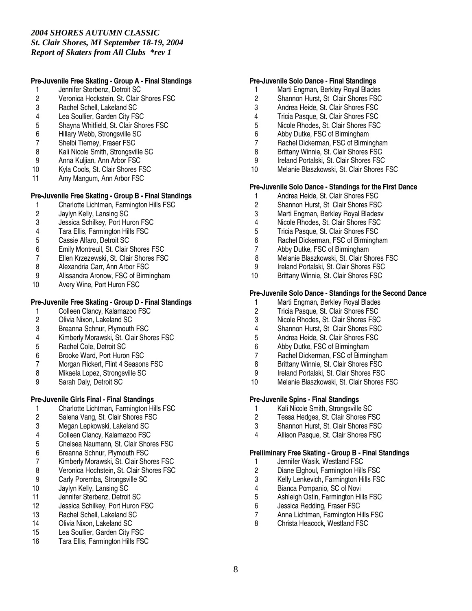## **Pre-Juvenile Free Skating - Group A - Final Standings**

- 1 Jennifer Sterbenz, Detroit SC
- 2 Veronica Hockstein, St. Clair Shores FSC<br>3 Rachel Schell. Lakeland SC
- 3 Rachel Schell, Lakeland SC
- 4 Lea Soullier, Garden City FSC
- 5 Shayna Whitfield, St. Clair Shores FSC<br>6 Hillary Webb. Strongsville SC
- Hillary Webb, Strongsville SC
- 7 Shelbi Tierney, Fraser FSC
- 8 Kali Nicole Smith, Strongsville SC<br>9 Anna Kuliian, Ann Arbor FSC
- Anna Kuljian, Ann Arbor FSC
- 10 Kyla Cools, St. Clair Shores FSC
- 11 Amy Mangum, Ann Arbor FSC

## **Pre-Juvenile Free Skating - Group B - Final Standings**

- 1 Charlotte Lichtman, Farmington Hills FSC<br>2 Javlyn Kelly, Lansing SC
- 2 Jaylyn Kelly, Lansing SC
- 3 Jessica Schilkey, Port Huron FSC<br>4 Tara Ellis, Farmington Hills FSC
- 4 Tara Ellis, Farmington Hills FSC<br>5 Cassie Alfaro. Detroit SC
- 5 Cassie Alfaro, Detroit SC
- 6 Emily Montreuil, St. Clair Shores FSC
- 
- 7 Ellen Krzezewski, St. Clair Shores FSC<br>8 Alexandria Carr. Ann Arbor FSC
- 8 Alexandria Carr, Ann Arbor FSC<br>9 Alissandra Aronow. FSC of Birmi 9 Alissandra Aronow, FSC of Birmingham<br>10 Avery Wine, Port Huron FSC
- Avery Wine, Port Huron FSC

## **Pre-Juvenile Free Skating - Group D - Final Standings**

- 1 Colleen Clancy, Kalamazoo FSC<br>2 Olivia Nixon. Lakeland SC
- 2 Olivia Nixon, Lakeland SC
- 3 Breanna Schnur, Plymouth FSC
- 4 Kimberly Morawski, St. Clair Shores FSC
- 5 Rachel Cole, Detroit SC
- 6 Brooke Ward, Port Huron FSC
- 7 Morgan Rickert, Flint 4 Seasons FSC<br>8 Mikaela Lopez. Strongsville SC
- 8 Mikaela Lopez, Strongsville SC<br>9 Sarah Dalv, Detroit SC
- Sarah Daly, Detroit SC

## **Pre-Juvenile Girls Final - Final Standings**

- 1 Charlotte Lichtman, Farmington Hills FSC<br>2 Salena Vang. St. Clair Shores FSC
- Salena Vang, St. Clair Shores FSC
- 3 Megan Lepkowski, Lakeland SC
- 
- 4 Colleen Clancy, Kalamazoo FSC<br>5 Chelsea Naumann, St. Clair Shor 5 Chelsea Naumann, St. Clair Shores FSC
- 6 Breanna Schnur, Plymouth FSC<br>7 Kimberly Morawski, St. Clair Sho
- 7 Kimberly Morawski, St. Clair Shores FSC
- Veronica Hochstein, St. Clair Shores FSC
- 9 Carly Poremba, Strongsville SC<br>10 Jaylyn Kelly, Lansing SC
- Jaylyn Kelly, Lansing SC
- 11 Jennifer Sterbenz, Detroit SC
- 12 Jessica Schilkey, Port Huron FSC
- 13 Rachel Schell, Lakeland SC<br>14 Olivia Nixon, Lakeland SC
- Olivia Nixon, Lakeland SC
- 15 Lea Soullier, Garden City FSC
- 16 Tara Ellis, Farmington Hills FSC

#### **Pre-Juvenile Solo Dance - Final Standings**

- 1 Marti Engman, Berkley Royal Blades
- 2 Shannon Hurst, St Clair Shores FSC<br>3 Andrea Heide. St. Clair Shores FSC
- Andrea Heide, St. Clair Shores FSC
- 4 Tricia Pasque, St. Clair Shores FSC<br>5 Nicole Rhodes, St. Clair Shores FSC
- 5 Nicole Rhodes, St. Clair Shores FSC<br>6 Abby Dutke. FSC of Birmingham
- Abby Dutke, FSC of Birmingham
- 7 Rachel Dickerman, FSC of Birmingham
- 8 Brittany Winnie, St. Clair Shores FSC
- 9 Ireland Portalski, St. Clair Shores FSC<br>10 Melanie Blaszkowski, St. Clair Shores I
- Melanie Blaszkowski, St. Clair Shores FSC

### **Pre-Juvenile Solo Dance - Standings for the First Dance**

- 1 Andrea Heide, St. Clair Shores FSC<br>2 Shannon Hurst. St Clair Shores FSC
- 2 Shannon Hurst, St Clair Shores FSC
- 3 Marti Engman, Berkley Royal Bladesv<br>4 Nicole Rhodes, St. Clair Shores FSC
- 
- 4 Nicole Rhodes, St. Clair Shores FSC<br>5 Tricia Pasque, St. Clair Shores FSC 5 Tricia Pasque, St. Clair Shores FSC
- 6 Rachel Dickerman, FSC of Birmingham
- 7 Abby Dutke, FSC of Birmingham
- 8 Melanie Blaszkowski, St. Clair Shores FSC
- 9 Ireland Portalski, St. Clair Shores FSC<br>10 Brittany Winnie, St. Clair Shores FSC
- Brittany Winnie, St. Clair Shores FSC

#### **Pre-Juvenile Solo Dance - Standings for the Second Dance**

- 1 Marti Engman, Berkley Royal Blades<br>2 Tricia Pasque. St. Clair Shores FSC
- 2 Tricia Pasque, St. Clair Shores FSC<br>3 Nicole Rhodes. St. Clair Shores FSC
- 3 Nicole Rhodes, St. Clair Shores FSC<br>4 Shannon Hurst, St. Clair Shores FSC
- 4 Shannon Hurst, St Clair Shores FSC<br>5 Andrea Heide. St. Clair Shores FSC
- 5 Andrea Heide, St. Clair Shores FSC
- 6 Abby Dutke, FSC of Birmingham
- 7 Rachel Dickerman, FSC of Birmingham
- 8 Brittany Winnie, St. Clair Shores FSC<br>9 Ireland Portalski, St. Clair Shores FSC
- 9 Ireland Portalski, St. Clair Shores FSC
- 10 Melanie Blaszkowski, St. Clair Shores FSC

#### **Pre-Juvenile Spins - Final Standings**

- 1 Kali Nicole Smith, Strongsville SC<br>2 Tessa Hedges, St. Clair Shores FS
- Tessa Hedges, St. Clair Shores FSC
- 3 Shannon Hurst, St. Clair Shores FSC
- 4 Allison Pasque, St. Clair Shores FSC

#### **Preliiminary Free Skating - Group B - Final Standings**

- 1 Jennifer Wasik, Westland FSC<br>2 Diane Elghoul, Farmington Hills
- 2 Diane Elghoul, Farmington Hills FSC<br>3 Kelly Lenkevich. Farmington Hills FSC
- 3 Kelly Lenkevich, Farmington Hills FSC<br>4 Bianca Pompanio. SC of Novi
- 4 Bianca Pompanio, SC of Novi<br>5 Ashleigh Ostin, Farmington Hil
- 5 Ashleigh Ostin, Farmington Hills FSC<br>6 Jessica Redding. Fraser FSC
- 6 Jessica Redding, Fraser FSC<br>7 Anna Lichtman, Farmington H
- 7 Anna Lichtman, Farmington Hills FSC<br>8 Christa Heacock. Westland FSC
- Christa Heacock, Westland FSC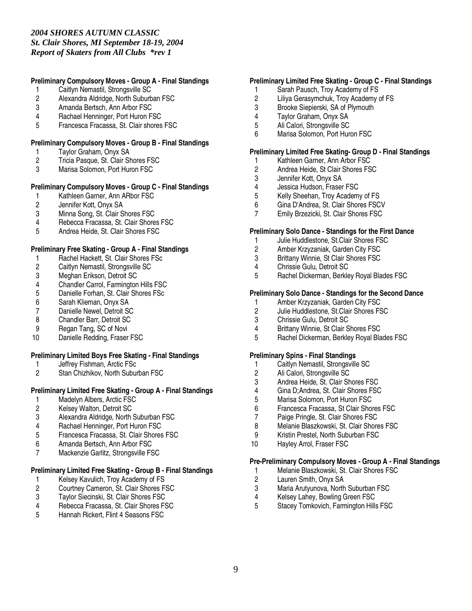## **Preliminary Compulsory Moves - Group A - Final Standings**

- 1 Caitlyn Nemastil, Strongsville SC
- 2 Alexandra Aldridge, North Suburban FSC<br>3 Amanda Bertsch. Ann Arbor FSC
- Amanda Bertsch, Ann Arbor FSC
- 4 Rachael Henninger, Port Huron FSC
- 5 Francesca Fracassa, St. Clair shores FSC

## **Preliminary Compulsory Moves - Group B - Final Standings**

- 1 Taylor Graham, Onyx SA
- 2 Tricia Pasque, St. Clair Shores FSC<br>3 Marisa Solomon. Port Huron FSC
- Marisa Solomon, Port Huron FSC

## **Preliminary Compulsory Moves - Group C - Final Standings**

- 1 Kathleen Garner, Ann ARbor FSC<br>2 Jennifer Kott. Onvx SA
- 2 Jennifer Kott, Onyx SA
- 3 Minna Song, St. Clair Shores FSC<br>4 Rebecca Fracassa, St. Clair Shore
- 4 Rebecca Fracassa, St. Clair Shores FSC
- 5 Andrea Heide, St. Clair Shores FSC

## **Preliminary Free Skating - Group A - Final Standings**

- 1 Rachel Hackett, St. Clair Shores FSc<br>2 Caitlyn Nemastil, Strongsville SC
- 2 Caitlyn Nemastil, Strongsville SC<br>3 Meghan Erikson, Detroit SC
- 3 Meghan Erikson, Detroit SC<br>4 Chandler Carrol, Farmington
- 4 Chandler Carrol, Farmington Hills FSC<br>5 Danielle Forhan, St. Clair Shores FSc
- Danielle Forhan, St. Clair Shores FSc
- 6 Sarah Klieman, Onyx SA
- 7 Danielle Newel, Detroit SC<br>8 Chandler Barr. Detroit SC
- 8 Chandler Barr, Detroit SC
- 9 Regan Tang, SC of Novi
- 10 Danielle Redding, Fraser FSC

## **Preliminary Limited Boys Free Skating - Final Standings**

- 1 Jeffrey Fishman, Arctic FSc<br>2 Stan Chizhikov. North Subui
- Stan Chizhikov, North Suburban FSC

## **Preliminary Limited Free Skating - Group A - Final Standings**

- 1 Madelyn Albers, Arctic FSC<br>2 Kelsev Walton, Detroit SC
- 2 Kelsey Walton, Detroit SC<br>3 Alexandra Aldridge, North
- 3 Alexandra Aldridge, North Suburban FSC
- 4 Rachael Henninger, Port Huron FSC<br>5 Francesca Fracassa, St. Clair Shores
- 5 Francesca Fracassa, St. Clair Shores FSC
- 6 Amanda Bertsch, Ann Arbor FSC
- 7 Mackenzie Garlitz, Strongsville FSC

### **Preliminary Limited Free Skating - Group B - Final Standings**

- 1 Kelsey Kavulich, Troy Academy of FS<br>2 Courtney Cameron, St. Clair Shores F
- 2 Courtney Cameron, St. Clair Shores FSC<br>3 Taylor Siecinski, St. Clair Shores FSC
- 3 Taylor Siecinski, St. Clair Shores FSC
- 4 Rebecca Fracassa, St. Clair Shores FSC<br>5 Hannah Rickert. Flint 4 Seasons FSC
- 5 Hannah Rickert, Flint 4 Seasons FSC

## **Preliminary Limited Free Skating - Group C - Final Standings**

- 1 Sarah Pausch, Troy Academy of FS
- 2 Liliya Gerasymchuk, Troy Academy of FS<br>3 Brooke Siepierski, SA of Plymouth
- Brooke Siepierski, SA of Plymouth
- 4 Taylor Graham, Onyx SA
- 5 Ali Calori, Strongsville SC
- 6 Marisa Solomon, Port Huron FSC

### **Preliminary Limited Free Skating- Group D - Final Standings**

- 1 Kathleen Garner, Ann Arbor FSC<br>2 Andrea Heide, St Clair Shores FS
- 2 Andrea Heide, St Clair Shores FSC<br>3 Jennifer Kott, Onyx SA
- Jennifer Kott, Onyx SA
- 4 Jessica Hudson, Fraser FSC<br>5 Kelly Sheehan. Trov Academ
- 5 Kelly Sheehan, Troy Academy of FS
- 6 Gina D'Andrea, St. Clair Shores FSCV
- 7 Emily Brzezicki, St. Clair Shores FSC

## **Preliminary Solo Dance - Standings for the First Dance**

- 1 Julie Huddlestone, St.Clair Shores FSC
- 2 Amber Krzyzaniak, Garden City FSC
- 3 Brittany Winnie, St Clair Shores FSC
- 4 Chrissie Gulu, Detroit SC<br>5 Rachel Dickerman, Berkle
- 5 Rachel Dickerman, Berkley Royal Blades FSC

### **Preliminary Solo Dance - Standings for the Second Dance**

- 1 Amber Krzyzaniak, Garden City FSC<br>2 Julie Huddlestone. St.Clair Shores FS
- 2 Julie Huddlestone, St.Clair Shores FSC<br>3 Chrissie Gulu. Detroit SC
- 3 Chrissie Gulu, Detroit SC
- 4 Brittany Winnie, St Clair Shores FSC<br>5 Rachel Dickerman, Berkley Royal Bla
- 5 Rachel Dickerman, Berkley Royal Blades FSC

#### **Preliminary Spins - Final Standings**

- 1 Caitlyn Nemastil, Strongsville SC<br>2 Ali Calori. Strongsville SC
- 2 Ali Calori, Strongsville SC<br>3 Andrea Heide, St. Clair Sh
- Andrea Heide, St. Clair Shores FSC
- 4 Gina D;Andrea, St. Clair Shores FSC<br>5 Marisa Solomon. Port Huron FSC
- 5 Marisa Solomon, Port Huron FSC<br>6 Francesca Fracassa, St Clair Shor
- 6 Francesca Fracassa, St Clair Shores FSC
- 7 Paige Pringle, St. Clair Shores FSC
- 8 Melanie Blaszkowski, St. Clair Shores FSC
- 9 Kristin Prestel, North Suburban FSC
- 10 Hayley Arrol, Fraser FSC

#### **Pre-Preliminary Compulsory Moves - Group A - Final Standings**

- 1 Melanie Blaszkowski, St. Clair Shores FSC<br>2 Lauren Smith. Onvx SA
- 2 Lauren Smith, Onyx SA<br>3 Maria Arutyunova, North
- Maria Arutyunova, North Suburban FSC
- 4 Kelsey Lahey, Bowling Green FSC
- 5 Stacey Tomkovich, Farmington Hills FSC